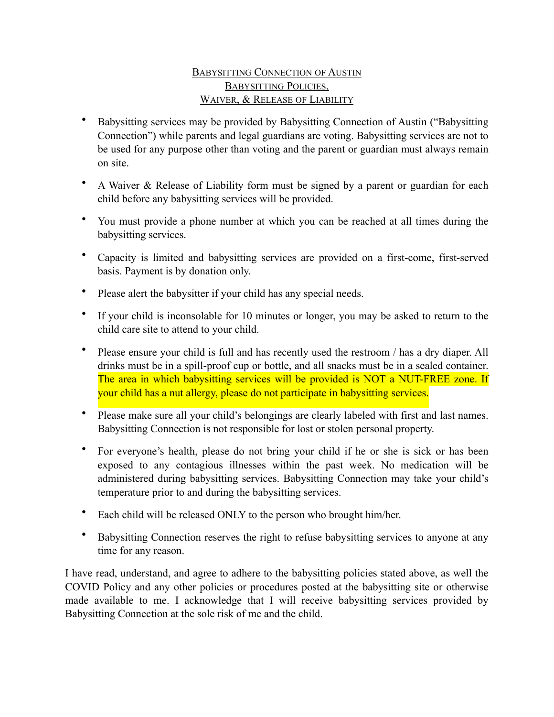## BABYSITTING CONNECTION OF AUSTIN BABYSITTING POLICIES, WAIVER, & RELEASE OF LIABILITY

- Babysitting services may be provided by Babysitting Connection of Austin ("Babysitting Connection") while parents and legal guardians are voting. Babysitting services are not to be used for any purpose other than voting and the parent or guardian must always remain on site.
- A Waiver & Release of Liability form must be signed by a parent or guardian for each child before any babysitting services will be provided.
- You must provide a phone number at which you can be reached at all times during the babysitting services.
- Capacity is limited and babysitting services are provided on a first-come, first-served basis. Payment is by donation only.
- Please alert the babysitter if your child has any special needs.
- If your child is inconsolable for 10 minutes or longer, you may be asked to return to the child care site to attend to your child.
- Please ensure your child is full and has recently used the restroom / has a dry diaper. All drinks must be in a spill-proof cup or bottle, and all snacks must be in a sealed container. The area in which babysitting services will be provided is NOT a NUT-FREE zone. If your child has a nut allergy, please do not participate in babysitting services.
- Please make sure all your child's belongings are clearly labeled with first and last names. Babysitting Connection is not responsible for lost or stolen personal property.
- For everyone's health, please do not bring your child if he or she is sick or has been exposed to any contagious illnesses within the past week. No medication will be administered during babysitting services. Babysitting Connection may take your child's temperature prior to and during the babysitting services.
- Each child will be released ONLY to the person who brought him/her.
- Babysitting Connection reserves the right to refuse babysitting services to anyone at any time for any reason.

I have read, understand, and agree to adhere to the babysitting policies stated above, as well the COVID Policy and any other policies or procedures posted at the babysitting site or otherwise made available to me. I acknowledge that I will receive babysitting services provided by Babysitting Connection at the sole risk of me and the child.